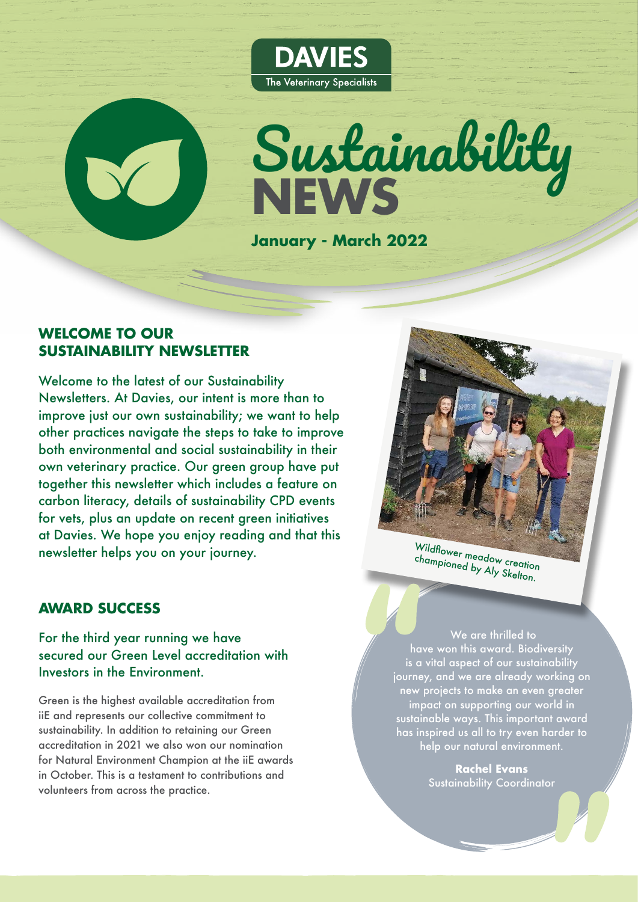



**January - March 2022**

#### **WELCOME TO OUR SUSTAINABILITY NEWSLETTER**

Welcome to the latest of our Sustainability Newsletters. At Davies, our intent is more than to improve just our own sustainability; we want to help other practices navigate the steps to take to improve both environmental and social sustainability in their own veterinary practice. Our green group have put together this newsletter which includes a feature on carbon literacy, details of sustainability CPD events for vets, plus an update on recent green initiatives at Davies. We hope you enjoy reading and that this newsletter helps you on your journey.

# **AWARD SUCCESS**

For the third year running we have secured our Green Level accreditation with Investors in the Environment.

Green is the highest available accreditation from iiE and represents our collective commitment to sustainability. In addition to retaining our Green accreditation in 2021 we also won our nomination for Natural Environment Champion at the iiE awards in October. This is a testament to contributions and volunteers from across the practice.



Wildflower meadow creation championed by Aly Skelton.

 We are thrilled to have won this award. Biodiversity is a vital aspect of our sustainability journey, and we are already working on new projects to make an even greater impact on supporting our world in sustainable ways. This important award has inspired us all to try even harder to help our natural environment.

> **Rachel Evans**  Sustainability Coordinator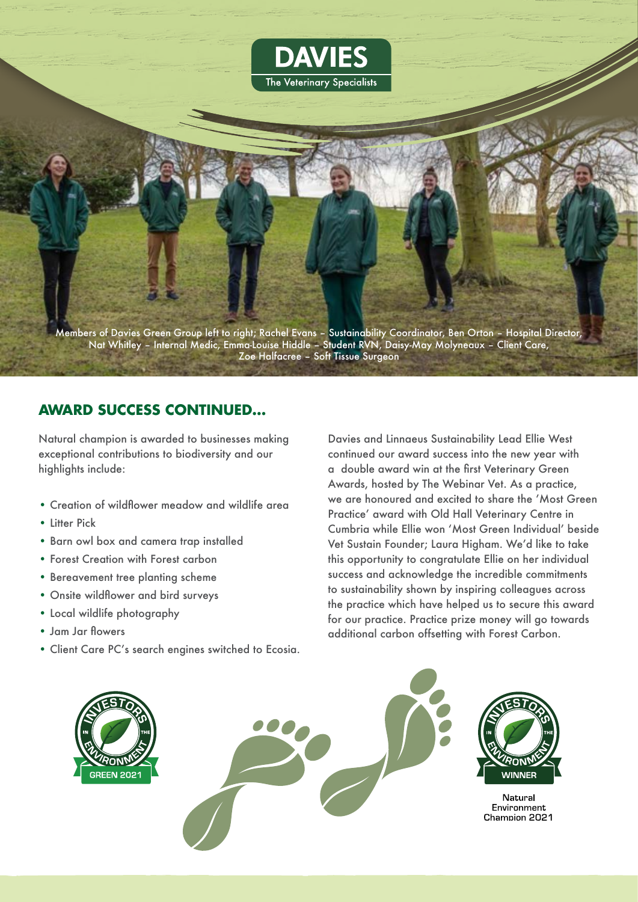

Members of Davies Green Group left to right; Rachel Evans – Sustainability Coordinator, Ben Orton – Hospital Director, Nat Whitley – Internal Medic, Emma-Louise Hiddle – Student RVN, Daisy-May Molyneaux – Client Care, Zoe Halfacree – Soft Tissue Surgeon

#### **AWARD SUCCESS CONTINUED…**

Natural champion is awarded to businesses making exceptional contributions to biodiversity and our highlights include:

- Creation of wildflower meadow and wildlife area
- Litter Pick
- Barn owl box and camera trap installed
- Forest Creation with Forest carbon
- Bereavement tree planting scheme
- Onsite wildflower and bird surveys
- Local wildlife photography
- Jam Jar flowers
- Client Care PC's search engines switched to Ecosia.

Davies and Linnaeus Sustainability Lead Ellie West continued our award success into the new year with a double award win at the first Veterinary Green Awards, hosted by The Webinar Vet. As a practice, we are honoured and excited to share the 'Most Green Practice' award with Old Hall Veterinary Centre in Cumbria while Ellie won 'Most Green Individual' beside Vet Sustain Founder; Laura Higham. We'd like to take this opportunity to congratulate Ellie on her individual success and acknowledge the incredible commitments to sustainability shown by inspiring colleagues across the practice which have helped us to secure this award for our practice. Practice prize money will go towards additional carbon offsetting with Forest Carbon.

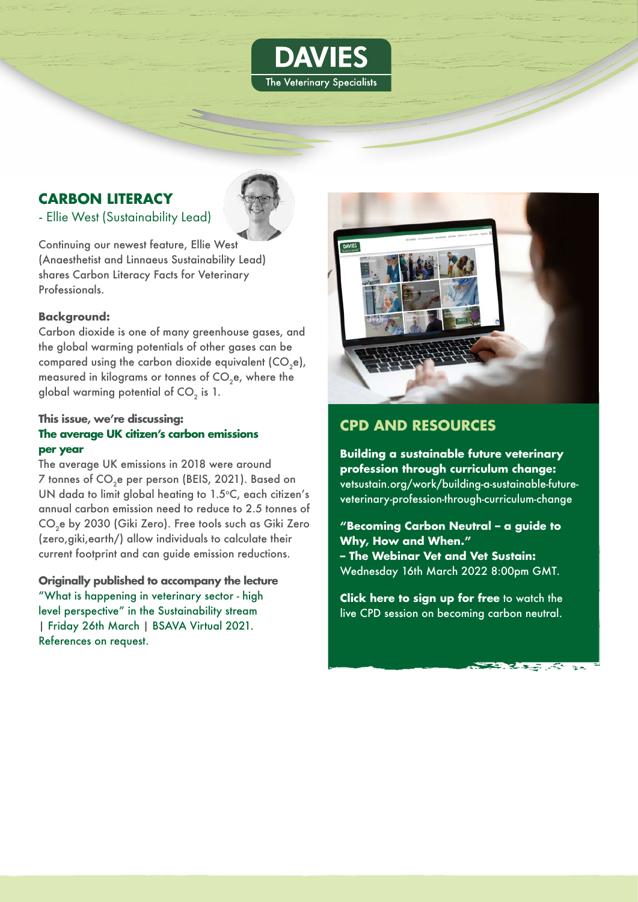

# **CARBON LITERACY**

- Ellie West (Sustainability Lead)



Continuing our newest feature, Ellie West (Anaesthetist and Linnaeus Sustainability Lead) shares Carbon Literacy Facts for Veterinary Professionals.

#### **Background:**

Carbon dioxide is one of many greenhouse gases, and the global warming potentials of other gases can be compared using the carbon dioxide equivalent  $(CO,e)$ , measured in kilograms or tonnes of CO<sub>2</sub>e, where the global warming potential of CO<sub>2</sub> is 1.

#### **This issue, we're discussing: The average UK citizen's carbon emissions per year**

The average UK emissions in 2018 were around 7 tonnes of CO<sub>2</sub>e per person (BEIS, 2021). Based on UN dada to limit global heating to 1.5°C, each citizen's annual carbon emission need to reduce to 2.5 tonnes of CO<sub>2</sub>e by 2030 (Giki Zero). Free tools such as Giki Zero (zero,giki,earth/) allow individuals to calculate their current footprint and can guide emission reductions.

**Originally published to accompany the lecture** "What is happening in veterinary sector - high level perspective" in the Sustainability stream | Friday 26th March | BSAVA Virtual 2021. References on request.



## **CPD AND RESOURCES**

**Building a sustainable future veterinary profession through curriculum change:**  vetsustain.org/work/building-a-sustainable-futureveterinary-profession-through-curriculum-change

**"Becoming Carbon Neutral – a guide to Why, How and When." – The Webinar Vet and Vet Sustain:** Wednesday 16th March 2022 8:00pm GMT.

**Click here to sign up for free** to watch the live CPD session on becoming carbon neutral.

بحرجيجة